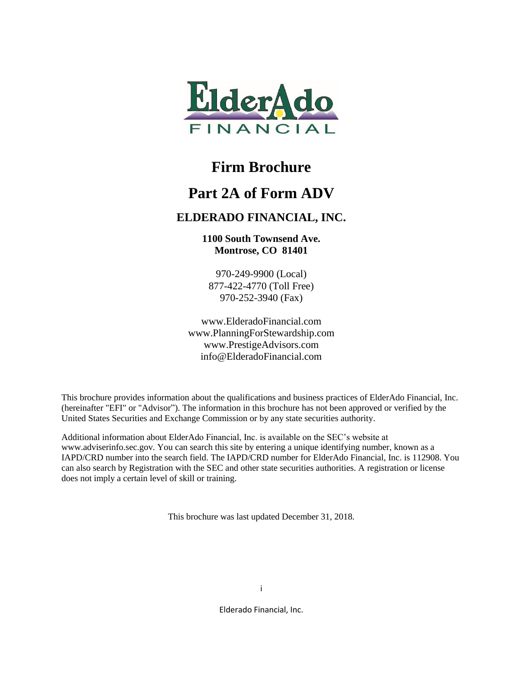

### **Firm Brochure**

### **Part 2A of Form ADV**

### **ELDERADO FINANCIAL, INC.**

**1100 South Townsend Ave. Montrose, CO 81401**

970-249-9900 (Local) 877-422-4770 (Toll Free) 970-252-3940 (Fax)

www.ElderadoFinancial.com www.PlanningForStewardship.com www.PrestigeAdvisors.com info@ElderadoFinancial.com

This brochure provides information about the qualifications and business practices of ElderAdo Financial, Inc. (hereinafter "EFI" or "Advisor"). The information in this brochure has not been approved or verified by the United States Securities and Exchange Commission or by any state securities authority.

Additional information about ElderAdo Financial, Inc. is available on the SEC's website at www.adviserinfo.sec.gov. You can search this site by entering a unique identifying number, known as a IAPD/CRD number into the search field. The IAPD/CRD number for ElderAdo Financial, Inc. is 112908. You can also search by Registration with the SEC and other state securities authorities. A registration or license does not imply a certain level of skill or training.

This brochure was last updated December 31, 2018.

Elderado Financial, Inc.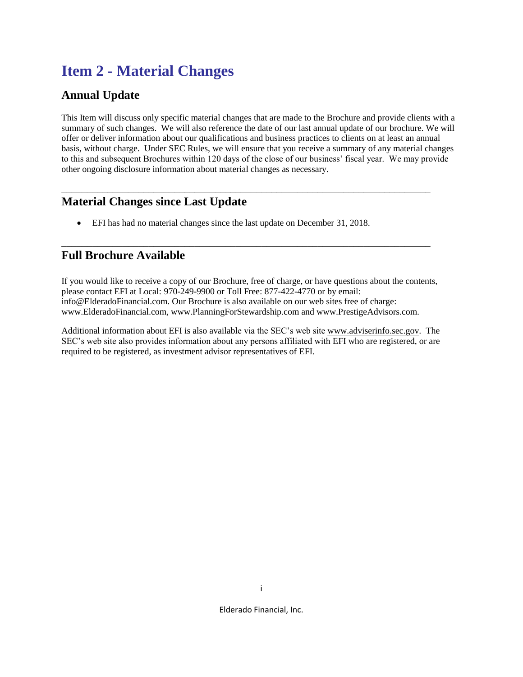# **Item 2 - Material Changes**

### **Annual Update**

This Item will discuss only specific material changes that are made to the Brochure and provide clients with a summary of such changes. We will also reference the date of our last annual update of our brochure. We will offer or deliver information about our qualifications and business practices to clients on at least an annual basis, without charge. Under SEC Rules, we will ensure that you receive a summary of any material changes to this and subsequent Brochures within 120 days of the close of our business' fiscal year. We may provide other ongoing disclosure information about material changes as necessary.

\_\_\_\_\_\_\_\_\_\_\_\_\_\_\_\_\_\_\_\_\_\_\_\_\_\_\_\_\_\_\_\_\_\_\_\_\_\_\_\_\_\_\_\_\_\_\_\_\_\_\_\_\_\_\_\_\_\_\_\_\_\_\_\_\_\_\_\_\_\_\_\_

\_\_\_\_\_\_\_\_\_\_\_\_\_\_\_\_\_\_\_\_\_\_\_\_\_\_\_\_\_\_\_\_\_\_\_\_\_\_\_\_\_\_\_\_\_\_\_\_\_\_\_\_\_\_\_\_\_\_\_\_\_\_\_\_\_\_\_\_\_\_\_\_

### **Material Changes since Last Update**

• EFI has had no material changes since the last update on December 31, 2018.

### **Full Brochure Available**

If you would like to receive a copy of our Brochure, free of charge, or have questions about the contents, please contact EFI at Local: 970-249-9900 or Toll Free: 877-422-4770 or by email: info@ElderadoFinancial.com. Our Brochure is also available on our web sites free of charge: www.ElderadoFinancial.com, www.PlanningForStewardship.com and www.PrestigeAdvisors.com.

Additional information about EFI is also available via the SEC's web site [www.adviserinfo.sec.gov.](http://www.adviserinfo.sec.gov/) The SEC's web site also provides information about any persons affiliated with EFI who are registered, or are required to be registered, as investment advisor representatives of EFI.

Elderado Financial, Inc.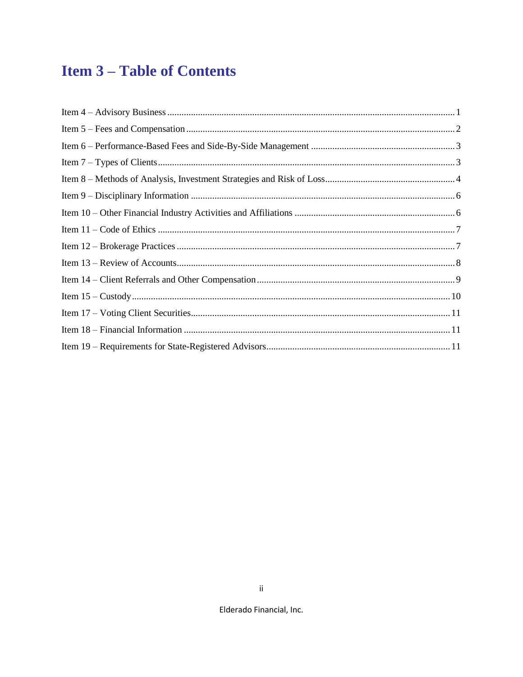# **Item 3-Table of Contents**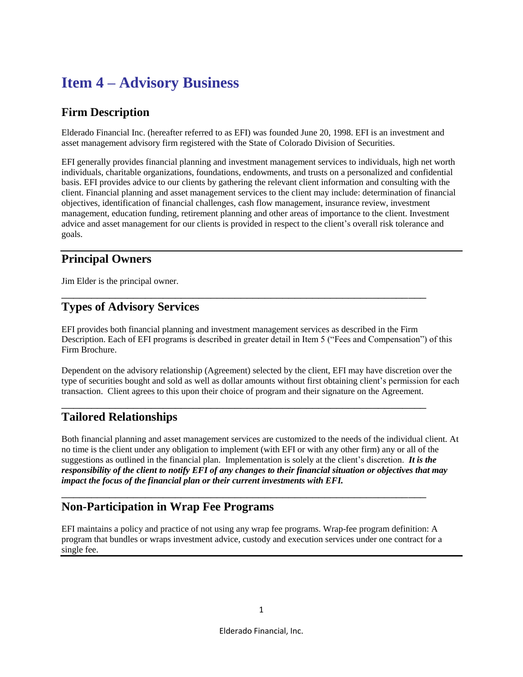# <span id="page-3-0"></span>**Item 4 – Advisory Business**

### **Firm Description**

Elderado Financial Inc. (hereafter referred to as EFI) was founded June 20, 1998. EFI is an investment and asset management advisory firm registered with the State of Colorado Division of Securities.

EFI generally provides financial planning and investment management services to individuals, high net worth individuals, charitable organizations, foundations, endowments, and trusts on a personalized and confidential basis. EFI provides advice to our clients by gathering the relevant client information and consulting with the client. Financial planning and asset management services to the client may include: determination of financial objectives, identification of financial challenges, cash flow management, insurance review, investment management, education funding, retirement planning and other areas of importance to the client. Investment advice and asset management for our clients is provided in respect to the client's overall risk tolerance and goals.

### **Principal Owners**

Jim Elder is the principal owner.

### **Types of Advisory Services**

EFI provides both financial planning and investment management services as described in the Firm Description. Each of EFI programs is described in greater detail in Item 5 ("Fees and Compensation") of this Firm Brochure.

\_\_\_\_\_\_\_\_\_\_\_\_\_\_\_\_\_\_\_\_\_\_\_\_\_\_\_\_\_\_\_\_\_\_\_\_\_\_\_\_\_\_\_\_\_\_\_\_\_\_\_\_\_\_\_\_\_\_\_\_\_

Dependent on the advisory relationship (Agreement) selected by the client, EFI may have discretion over the type of securities bought and sold as well as dollar amounts without first obtaining client's permission for each transaction. Client agrees to this upon their choice of program and their signature on the Agreement.

\_\_\_\_\_\_\_\_\_\_\_\_\_\_\_\_\_\_\_\_\_\_\_\_\_\_\_\_\_\_\_\_\_\_\_\_\_\_\_\_\_\_\_\_\_\_\_\_\_\_\_\_\_\_\_\_\_\_\_\_\_

\_\_\_\_\_\_\_\_\_\_\_\_\_\_\_\_\_\_\_\_\_\_\_\_\_\_\_\_\_\_\_\_\_\_\_\_\_\_\_\_\_\_\_\_\_\_\_\_\_\_\_\_\_\_\_\_\_\_\_\_\_

### **Tailored Relationships**

Both financial planning and asset management services are customized to the needs of the individual client. At no time is the client under any obligation to implement (with EFI or with any other firm) any or all of the suggestions as outlined in the financial plan. Implementation is solely at the client's discretion. *It is the responsibility of the client to notify EFI of any changes to their financial situation or objectives that may impact the focus of the financial plan or their current investments with EFI.*

#### **Non-Participation in Wrap Fee Programs**

EFI maintains a policy and practice of not using any wrap fee programs. Wrap-fee program definition: A program that bundles or wraps investment advice, custody and execution services under one contract for a single fee.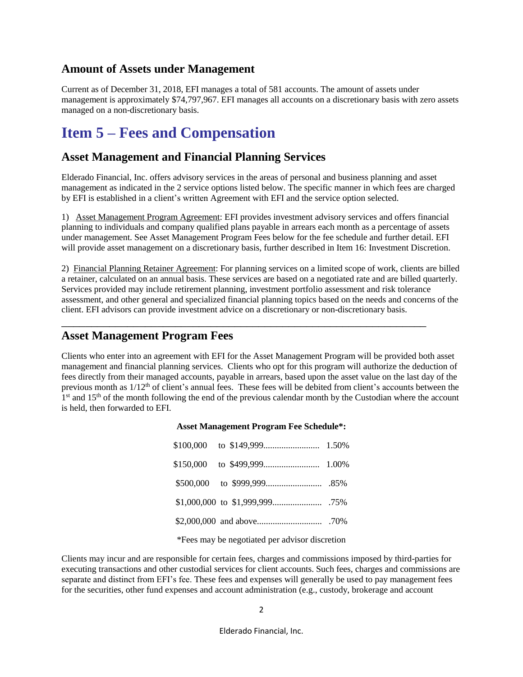#### **Amount of Assets under Management**

<span id="page-4-0"></span>Current as of December 31, 2018, EFI manages a total of 581 accounts. The amount of assets under management is approximately \$74,797,967. EFI manages all accounts on a discretionary basis with zero assets managed on a non-discretionary basis.

## **Item 5 – Fees and Compensation**

#### **Asset Management and Financial Planning Services**

Elderado Financial, Inc. offers advisory services in the areas of personal and business planning and asset management as indicated in the 2 service options listed below. The specific manner in which fees are charged by EFI is established in a client's written Agreement with EFI and the service option selected.

1) Asset Management Program Agreement: EFI provides investment advisory services and offers financial planning to individuals and company qualified plans payable in arrears each month as a percentage of assets under management. See Asset Management Program Fees below for the fee schedule and further detail. EFI will provide asset management on a discretionary basis, further described in Item 16: Investment Discretion.

2) Financial Planning Retainer Agreement: For planning services on a limited scope of work, clients are billed a retainer, calculated on an annual basis. These services are based on a negotiated rate and are billed quarterly. Services provided may include retirement planning, investment portfolio assessment and risk tolerance assessment, and other general and specialized financial planning topics based on the needs and concerns of the client. EFI advisors can provide investment advice on a discretionary or non-discretionary basis.

\_\_\_\_\_\_\_\_\_\_\_\_\_\_\_\_\_\_\_\_\_\_\_\_\_\_\_\_\_\_\_\_\_\_\_\_\_\_\_\_\_\_\_\_\_\_\_\_\_\_\_\_\_\_\_\_\_\_\_\_\_

#### **Asset Management Program Fees**

Clients who enter into an agreement with EFI for the Asset Management Program will be provided both asset management and financial planning services. Clients who opt for this program will authorize the deduction of fees directly from their managed accounts, payable in arrears, based upon the asset value on the last day of the previous month as  $1/12<sup>th</sup>$  of client's annual fees. These fees will be debited from client's accounts between the 1<sup>st</sup> and 15<sup>th</sup> of the month following the end of the previous calendar month by the Custodian where the account is held, then forwarded to EFI.

#### **Asset Management Program Fee Schedule\*:**

\*Fees may be negotiated per advisor discretion

Clients may incur and are responsible for certain fees, charges and commissions imposed by third-parties for executing transactions and other custodial services for client accounts. Such fees, charges and commissions are separate and distinct from EFI's fee. These fees and expenses will generally be used to pay management fees for the securities, other fund expenses and account administration (e.g., custody, brokerage and account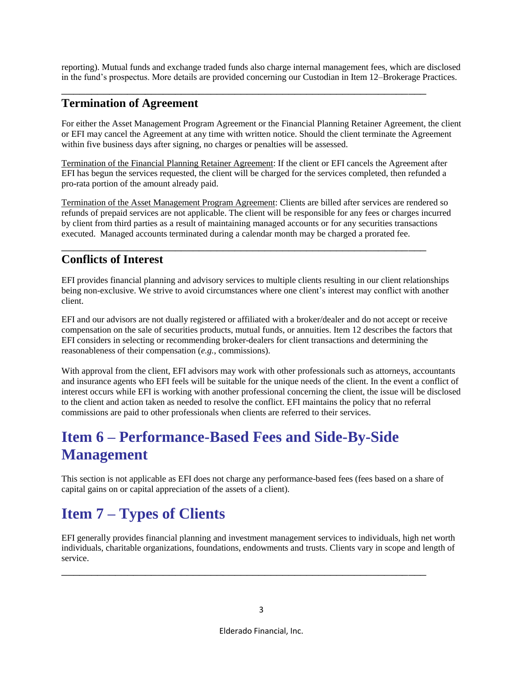reporting). Mutual funds and exchange traded funds also charge internal management fees, which are disclosed in the fund's prospectus. More details are provided concerning our Custodian in Item 12–Brokerage Practices.

\_\_\_\_\_\_\_\_\_\_\_\_\_\_\_\_\_\_\_\_\_\_\_\_\_\_\_\_\_\_\_\_\_\_\_\_\_\_\_\_\_\_\_\_\_\_\_\_\_\_\_\_\_\_\_\_\_\_\_\_\_

#### **Termination of Agreement**

For either the Asset Management Program Agreement or the Financial Planning Retainer Agreement, the client or EFI may cancel the Agreement at any time with written notice. Should the client terminate the Agreement within five business days after signing, no charges or penalties will be assessed.

Termination of the Financial Planning Retainer Agreement: If the client or EFI cancels the Agreement after EFI has begun the services requested, the client will be charged for the services completed, then refunded a pro-rata portion of the amount already paid.

Termination of the Asset Management Program Agreement: Clients are billed after services are rendered so refunds of prepaid services are not applicable. The client will be responsible for any fees or charges incurred by client from third parties as a result of maintaining managed accounts or for any securities transactions executed. Managed accounts terminated during a calendar month may be charged a prorated fee.

\_\_\_\_\_\_\_\_\_\_\_\_\_\_\_\_\_\_\_\_\_\_\_\_\_\_\_\_\_\_\_\_\_\_\_\_\_\_\_\_\_\_\_\_\_\_\_\_\_\_\_\_\_\_\_\_\_\_\_\_\_

### **Conflicts of Interest**

EFI provides financial planning and advisory services to multiple clients resulting in our client relationships being non-exclusive. We strive to avoid circumstances where one client's interest may conflict with another client.

EFI and our advisors are not dually registered or affiliated with a broker/dealer and do not accept or receive compensation on the sale of securities products, mutual funds, or annuities. Item 12 describes the factors that EFI considers in selecting or recommending broker-dealers for client transactions and determining the reasonableness of their compensation (*e.g.*, commissions).

With approval from the client, EFI advisors may work with other professionals such as attorneys, accountants and insurance agents who EFI feels will be suitable for the unique needs of the client. In the event a conflict of interest occurs while EFI is working with another professional concerning the client, the issue will be disclosed to the client and action taken as needed to resolve the conflict. EFI maintains the policy that no referral commissions are paid to other professionals when clients are referred to their services.

# <span id="page-5-0"></span>**Item 6 – Performance-Based Fees and Side-By-Side Management**

This section is not applicable as EFI does not charge any performance-based fees (fees based on a share of capital gains on or capital appreciation of the assets of a client).

# <span id="page-5-1"></span>**Item 7 – Types of Clients**

EFI generally provides financial planning and investment management services to individuals, high net worth individuals, charitable organizations, foundations, endowments and trusts. Clients vary in scope and length of service.

\_\_\_\_\_\_\_\_\_\_\_\_\_\_\_\_\_\_\_\_\_\_\_\_\_\_\_\_\_\_\_\_\_\_\_\_\_\_\_\_\_\_\_\_\_\_\_\_\_\_\_\_\_\_\_\_\_\_\_\_\_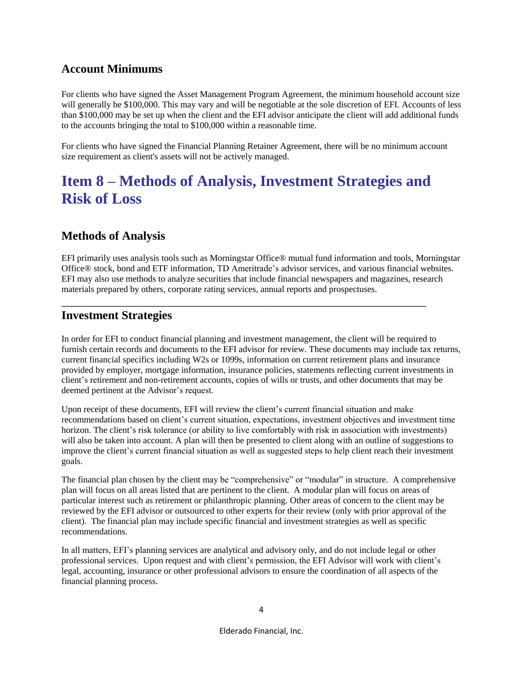#### **Account Minimums**

For clients who have signed the Asset Management Program Agreement, the minimum household account size will generally be \$100,000. This may vary and will be negotiable at the sole discretion of EFI. Accounts of less than \$100,000 may be set up when the client and the EFI advisor anticipate the client will add additional funds to the accounts bringing the total to \$100,000 within a reasonable time.

For clients who have signed the Financial Planning Retainer Agreement, there will be no minimum account size requirement as client's assets will not be actively managed.

# <span id="page-6-0"></span>**Item 8 – Methods of Analysis, Investment Strategies and Risk of Loss**

#### **Methods of Analysis**

EFI primarily uses analysis tools such as Morningstar Office® mutual fund information and tools, Morningstar Office® stock, bond and ETF information, TD Ameritrade's advisor services, and various financial websites. EFI may also use methods to analyze securities that include financial newspapers and magazines, research materials prepared by others, corporate rating services, annual reports and prospectuses.

\_\_\_\_\_\_\_\_\_\_\_\_\_\_\_\_\_\_\_\_\_\_\_\_\_\_\_\_\_\_\_\_\_\_\_\_\_\_\_\_\_\_\_\_\_\_\_\_\_\_\_\_\_\_\_\_\_\_\_\_\_

#### **Investment Strategies**

In order for EFI to conduct financial planning and investment management, the client will be required to furnish certain records and documents to the EFI advisor for review. These documents may include tax returns, current financial specifics including W2s or 1099s, information on current retirement plans and insurance provided by employer, mortgage information, insurance policies, statements reflecting current investments in client's retirement and non-retirement accounts, copies of wills or trusts, and other documents that may be deemed pertinent at the Advisor's request.

Upon receipt of these documents, EFI will review the client's current financial situation and make recommendations based on client's current situation, expectations, investment objectives and investment time horizon. The client's risk tolerance (or ability to live comfortably with risk in association with investments) will also be taken into account. A plan will then be presented to client along with an outline of suggestions to improve the client's current financial situation as well as suggested steps to help client reach their investment goals.

The financial plan chosen by the client may be "comprehensive" or "modular" in structure. A comprehensive plan will focus on all areas listed that are pertinent to the client. A modular plan will focus on areas of particular interest such as retirement or philanthropic planning. Other areas of concern to the client may be reviewed by the EFI advisor or outsourced to other experts for their review (only with prior approval of the client). The financial plan may include specific financial and investment strategies as well as specific recommendations.

In all matters, EFI's planning services are analytical and advisory only, and do not include legal or other professional services. Upon request and with client's permission, the EFI Advisor will work with client's legal, accounting, insurance or other professional advisors to ensure the coordination of all aspects of the financial planning process.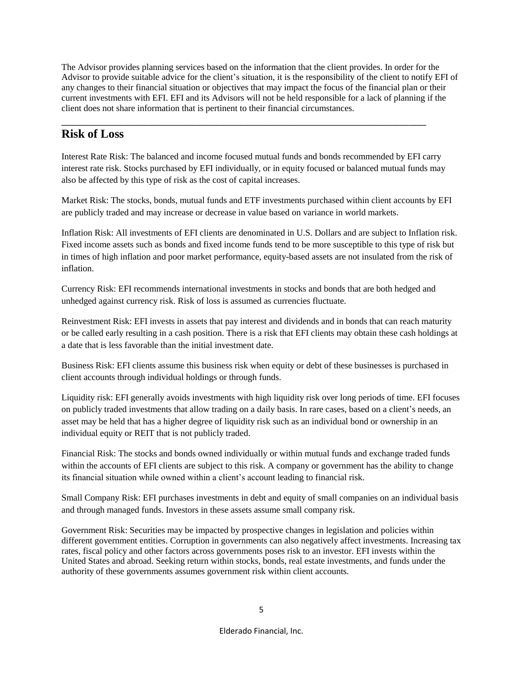The Advisor provides planning services based on the information that the client provides. In order for the Advisor to provide suitable advice for the client's situation, it is the responsibility of the client to notify EFI of any changes to their financial situation or objectives that may impact the focus of the financial plan or their current investments with EFI. EFI and its Advisors will not be held responsible for a lack of planning if the client does not share information that is pertinent to their financial circumstances.

#### **Risk of Loss**

Interest Rate Risk: The balanced and income focused mutual funds and bonds recommended by EFI carry interest rate risk. Stocks purchased by EFI individually, or in equity focused or balanced mutual funds may also be affected by this type of risk as the cost of capital increases.

\_\_\_\_\_\_\_\_\_\_\_\_\_\_\_\_\_\_\_\_\_\_\_\_\_\_\_\_\_\_\_\_\_\_\_\_\_\_\_\_\_\_\_\_\_\_\_\_\_\_\_\_\_\_\_\_\_\_\_\_\_

Market Risk: The stocks, bonds, mutual funds and ETF investments purchased within client accounts by EFI are publicly traded and may increase or decrease in value based on variance in world markets.

Inflation Risk: All investments of EFI clients are denominated in U.S. Dollars and are subject to Inflation risk. Fixed income assets such as bonds and fixed income funds tend to be more susceptible to this type of risk but in times of high inflation and poor market performance, equity-based assets are not insulated from the risk of inflation.

Currency Risk: EFI recommends international investments in stocks and bonds that are both hedged and unhedged against currency risk. Risk of loss is assumed as currencies fluctuate.

Reinvestment Risk: EFI invests in assets that pay interest and dividends and in bonds that can reach maturity or be called early resulting in a cash position. There is a risk that EFI clients may obtain these cash holdings at a date that is less favorable than the initial investment date.

Business Risk: EFI clients assume this business risk when equity or debt of these businesses is purchased in client accounts through individual holdings or through funds.

Liquidity risk: EFI generally avoids investments with high liquidity risk over long periods of time. EFI focuses on publicly traded investments that allow trading on a daily basis. In rare cases, based on a client's needs, an asset may be held that has a higher degree of liquidity risk such as an individual bond or ownership in an individual equity or REIT that is not publicly traded.

Financial Risk: The stocks and bonds owned individually or within mutual funds and exchange traded funds within the accounts of EFI clients are subject to this risk. A company or government has the ability to change its financial situation while owned within a client's account leading to financial risk.

Small Company Risk: EFI purchases investments in debt and equity of small companies on an individual basis and through managed funds. Investors in these assets assume small company risk.

Government Risk: Securities may be impacted by prospective changes in legislation and policies within different government entities. Corruption in governments can also negatively affect investments. Increasing tax rates, fiscal policy and other factors across governments poses risk to an investor. EFI invests within the United States and abroad. Seeking return within stocks, bonds, real estate investments, and funds under the authority of these governments assumes government risk within client accounts.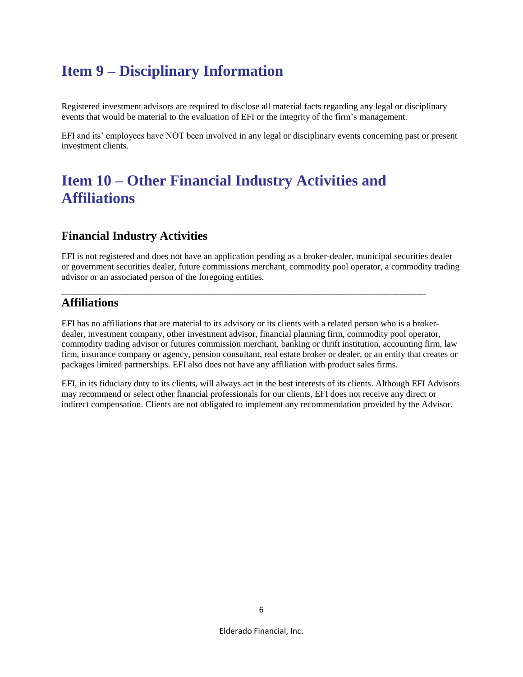# <span id="page-8-0"></span>**Item 9 – Disciplinary Information**

Registered investment advisors are required to disclose all material facts regarding any legal or disciplinary events that would be material to the evaluation of EFI or the integrity of the firm's management.

EFI and its' employees have NOT been involved in any legal or disciplinary events concerning past or present investment clients.

### <span id="page-8-1"></span>**Item 10 – Other Financial Industry Activities and Affiliations**

#### **Financial Industry Activities**

EFI is not registered and does not have an application pending as a broker-dealer, municipal securities dealer or government securities dealer, future commissions merchant, commodity pool operator, a commodity trading advisor or an associated person of the foregoing entities.

\_\_\_\_\_\_\_\_\_\_\_\_\_\_\_\_\_\_\_\_\_\_\_\_\_\_\_\_\_\_\_\_\_\_\_\_\_\_\_\_\_\_\_\_\_\_\_\_\_\_\_\_\_\_\_\_\_\_\_\_\_

#### **Affiliations**

EFI has no affiliations that are material to its advisory or its clients with a related person who is a brokerdealer, investment company, other investment advisor, financial planning firm, commodity pool operator, commodity trading advisor or futures commission merchant, banking or thrift institution, accounting firm, law firm, insurance company or agency, pension consultant, real estate broker or dealer, or an entity that creates or packages limited partnerships. EFI also does not have any affiliation with product sales firms.

EFI, in its fiduciary duty to its clients, will always act in the best interests of its clients. Although EFI Advisors may recommend or select other financial professionals for our clients, EFI does not receive any direct or indirect compensation. Clients are not obligated to implement any recommendation provided by the Advisor.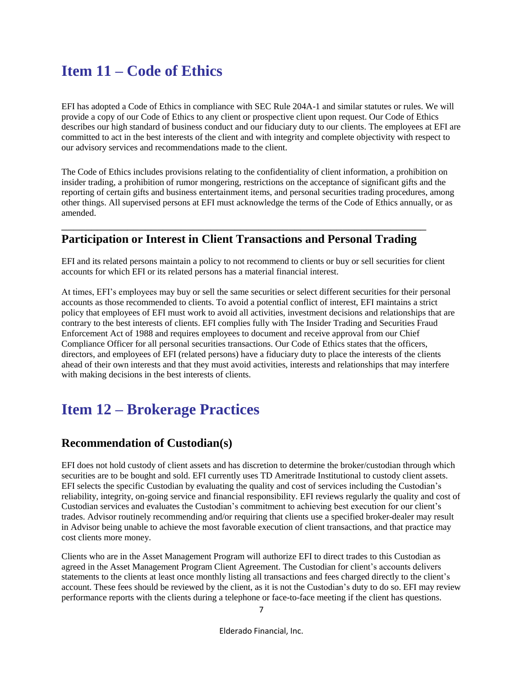# <span id="page-9-0"></span>**Item 11 – Code of Ethics**

EFI has adopted a Code of Ethics in compliance with SEC Rule 204A-1 and similar statutes or rules. We will provide a copy of our Code of Ethics to any client or prospective client upon request. Our Code of Ethics describes our high standard of business conduct and our fiduciary duty to our clients. The employees at EFI are committed to act in the best interests of the client and with integrity and complete objectivity with respect to our advisory services and recommendations made to the client.

The Code of Ethics includes provisions relating to the confidentiality of client information, a prohibition on insider trading, a prohibition of rumor mongering, restrictions on the acceptance of significant gifts and the reporting of certain gifts and business entertainment items, and personal securities trading procedures, among other things. All supervised persons at EFI must acknowledge the terms of the Code of Ethics annually, or as amended.

#### \_\_\_\_\_\_\_\_\_\_\_\_\_\_\_\_\_\_\_\_\_\_\_\_\_\_\_\_\_\_\_\_\_\_\_\_\_\_\_\_\_\_\_\_\_\_\_\_\_\_\_\_\_\_\_\_\_\_\_\_\_ **Participation or Interest in Client Transactions and Personal Trading**

EFI and its related persons maintain a policy to not recommend to clients or buy or sell securities for client accounts for which EFI or its related persons has a material financial interest.

At times, EFI's employees may buy or sell the same securities or select different securities for their personal accounts as those recommended to clients. To avoid a potential conflict of interest, EFI maintains a strict policy that employees of EFI must work to avoid all activities, investment decisions and relationships that are contrary to the best interests of clients. EFI complies fully with The Insider Trading and Securities Fraud Enforcement Act of 1988 and requires employees to document and receive approval from our Chief Compliance Officer for all personal securities transactions. Our Code of Ethics states that the officers, directors, and employees of EFI (related persons) have a fiduciary duty to place the interests of the clients ahead of their own interests and that they must avoid activities, interests and relationships that may interfere with making decisions in the best interests of clients.

### <span id="page-9-1"></span>**Item 12 – Brokerage Practices**

#### **Recommendation of Custodian(s)**

EFI does not hold custody of client assets and has discretion to determine the broker/custodian through which securities are to be bought and sold. EFI currently uses TD Ameritrade Institutional to custody client assets. EFI selects the specific Custodian by evaluating the quality and cost of services including the Custodian's reliability, integrity, on-going service and financial responsibility. EFI reviews regularly the quality and cost of Custodian services and evaluates the Custodian's commitment to achieving best execution for our client's trades. Advisor routinely recommending and/or requiring that clients use a specified broker-dealer may result in Advisor being unable to achieve the most favorable execution of client transactions, and that practice may cost clients more money.

Clients who are in the Asset Management Program will authorize EFI to direct trades to this Custodian as agreed in the Asset Management Program Client Agreement. The Custodian for client's accounts delivers statements to the clients at least once monthly listing all transactions and fees charged directly to the client's account. These fees should be reviewed by the client, as it is not the Custodian's duty to do so. EFI may review performance reports with the clients during a telephone or face-to-face meeting if the client has questions.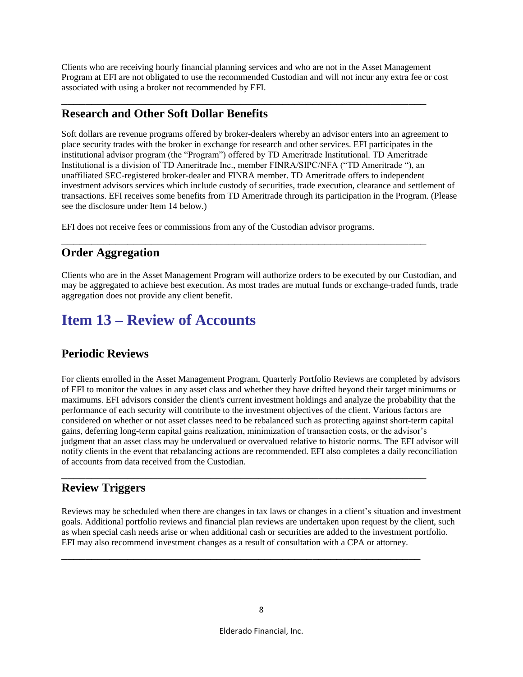Clients who are receiving hourly financial planning services and who are not in the Asset Management Program at EFI are not obligated to use the recommended Custodian and will not incur any extra fee or cost associated with using a broker not recommended by EFI.

\_\_\_\_\_\_\_\_\_\_\_\_\_\_\_\_\_\_\_\_\_\_\_\_\_\_\_\_\_\_\_\_\_\_\_\_\_\_\_\_\_\_\_\_\_\_\_\_\_\_\_\_\_\_\_\_\_\_\_\_\_

#### **Research and Other Soft Dollar Benefits**

Soft dollars are revenue programs offered by broker-dealers whereby an advisor enters into an agreement to place security trades with the broker in exchange for research and other services. EFI participates in the institutional advisor program (the "Program") offered by TD Ameritrade Institutional. TD Ameritrade Institutional is a division of TD Ameritrade Inc., member FINRA/SIPC/NFA ("TD Ameritrade "), an unaffiliated SEC-registered broker-dealer and FINRA member. TD Ameritrade offers to independent investment advisors services which include custody of securities, trade execution, clearance and settlement of transactions. EFI receives some benefits from TD Ameritrade through its participation in the Program. (Please see the disclosure under Item 14 below.)

EFI does not receive fees or commissions from any of the Custodian advisor programs.

### **Order Aggregation**

Clients who are in the Asset Management Program will authorize orders to be executed by our Custodian, and may be aggregated to achieve best execution. As most trades are mutual funds or exchange-traded funds, trade aggregation does not provide any client benefit.

\_\_\_\_\_\_\_\_\_\_\_\_\_\_\_\_\_\_\_\_\_\_\_\_\_\_\_\_\_\_\_\_\_\_\_\_\_\_\_\_\_\_\_\_\_\_\_\_\_\_\_\_\_\_\_\_\_\_\_\_\_

## <span id="page-10-0"></span>**Item 13 – Review of Accounts**

### **Periodic Reviews**

For clients enrolled in the Asset Management Program, Quarterly Portfolio Reviews are completed by advisors of EFI to monitor the values in any asset class and whether they have drifted beyond their target minimums or maximums. EFI advisors consider the client's current investment holdings and analyze the probability that the performance of each security will contribute to the investment objectives of the client. Various factors are considered on whether or not asset classes need to be rebalanced such as protecting against short-term capital gains, deferring long-term capital gains realization, minimization of transaction costs, or the advisor's judgment that an asset class may be undervalued or overvalued relative to historic norms. The EFI advisor will notify clients in the event that rebalancing actions are recommended. EFI also completes a daily reconciliation of accounts from data received from the Custodian.

\_\_\_\_\_\_\_\_\_\_\_\_\_\_\_\_\_\_\_\_\_\_\_\_\_\_\_\_\_\_\_\_\_\_\_\_\_\_\_\_\_\_\_\_\_\_\_\_\_\_\_\_\_\_\_\_\_\_\_\_\_

\_\_\_\_\_\_\_\_\_\_\_\_\_\_\_\_\_\_\_\_\_\_\_\_\_\_\_\_\_\_\_\_\_\_\_\_\_\_\_\_\_\_\_\_\_\_\_\_\_\_\_\_\_\_\_\_\_\_\_\_

### **Review Triggers**

Reviews may be scheduled when there are changes in tax laws or changes in a client's situation and investment goals. Additional portfolio reviews and financial plan reviews are undertaken upon request by the client, such as when special cash needs arise or when additional cash or securities are added to the investment portfolio. EFI may also recommend investment changes as a result of consultation with a CPA or attorney.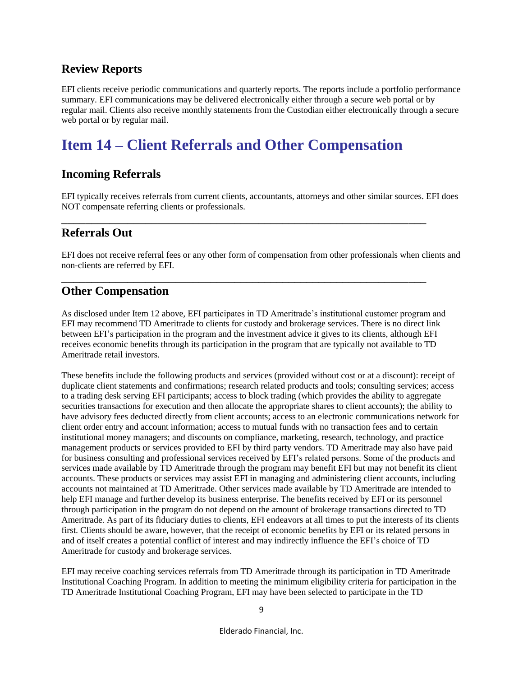#### **Review Reports**

EFI clients receive periodic communications and quarterly reports. The reports include a portfolio performance summary. EFI communications may be delivered electronically either through a secure web portal or by regular mail. Clients also receive monthly statements from the Custodian either electronically through a secure web portal or by regular mail.

# <span id="page-11-0"></span>**Item 14 – Client Referrals and Other Compensation**

#### **Incoming Referrals**

EFI typically receives referrals from current clients, accountants, attorneys and other similar sources. EFI does NOT compensate referring clients or professionals.

\_\_\_\_\_\_\_\_\_\_\_\_\_\_\_\_\_\_\_\_\_\_\_\_\_\_\_\_\_\_\_\_\_\_\_\_\_\_\_\_\_\_\_\_\_\_\_\_\_\_\_\_\_\_\_\_\_\_\_\_\_

\_\_\_\_\_\_\_\_\_\_\_\_\_\_\_\_\_\_\_\_\_\_\_\_\_\_\_\_\_\_\_\_\_\_\_\_\_\_\_\_\_\_\_\_\_\_\_\_\_\_\_\_\_\_\_\_\_\_\_\_\_

#### **Referrals Out**

EFI does not receive referral fees or any other form of compensation from other professionals when clients and non-clients are referred by EFI.

#### **Other Compensation**

As disclosed under Item 12 above, EFI participates in TD Ameritrade's institutional customer program and EFI may recommend TD Ameritrade to clients for custody and brokerage services. There is no direct link between EFI's participation in the program and the investment advice it gives to its clients, although EFI receives economic benefits through its participation in the program that are typically not available to TD Ameritrade retail investors.

These benefits include the following products and services (provided without cost or at a discount): receipt of duplicate client statements and confirmations; research related products and tools; consulting services; access to a trading desk serving EFI participants; access to block trading (which provides the ability to aggregate securities transactions for execution and then allocate the appropriate shares to client accounts); the ability to have advisory fees deducted directly from client accounts; access to an electronic communications network for client order entry and account information; access to mutual funds with no transaction fees and to certain institutional money managers; and discounts on compliance, marketing, research, technology, and practice management products or services provided to EFI by third party vendors. TD Ameritrade may also have paid for business consulting and professional services received by EFI's related persons. Some of the products and services made available by TD Ameritrade through the program may benefit EFI but may not benefit its client accounts. These products or services may assist EFI in managing and administering client accounts, including accounts not maintained at TD Ameritrade. Other services made available by TD Ameritrade are intended to help EFI manage and further develop its business enterprise. The benefits received by EFI or its personnel through participation in the program do not depend on the amount of brokerage transactions directed to TD Ameritrade. As part of its fiduciary duties to clients, EFI endeavors at all times to put the interests of its clients first. Clients should be aware, however, that the receipt of economic benefits by EFI or its related persons in and of itself creates a potential conflict of interest and may indirectly influence the EFI's choice of TD Ameritrade for custody and brokerage services.

EFI may receive coaching services referrals from TD Ameritrade through its participation in TD Ameritrade Institutional Coaching Program. In addition to meeting the minimum eligibility criteria for participation in the TD Ameritrade Institutional Coaching Program, EFI may have been selected to participate in the TD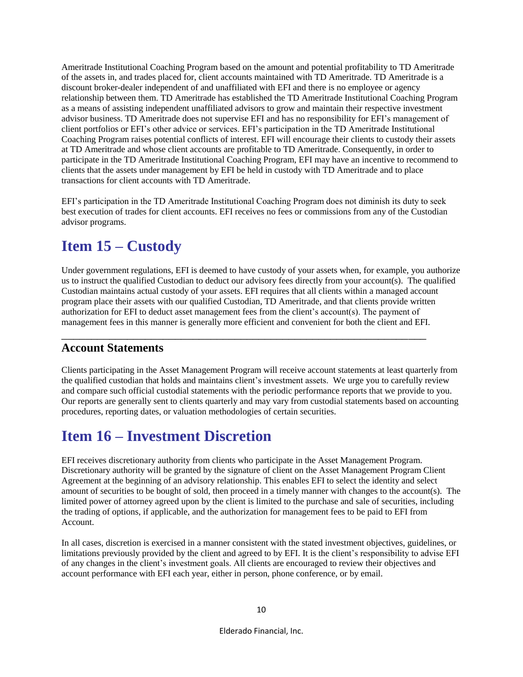Ameritrade Institutional Coaching Program based on the amount and potential profitability to TD Ameritrade of the assets in, and trades placed for, client accounts maintained with TD Ameritrade. TD Ameritrade is a discount broker-dealer independent of and unaffiliated with EFI and there is no employee or agency relationship between them. TD Ameritrade has established the TD Ameritrade Institutional Coaching Program as a means of assisting independent unaffiliated advisors to grow and maintain their respective investment advisor business. TD Ameritrade does not supervise EFI and has no responsibility for EFI's management of client portfolios or EFI's other advice or services. EFI's participation in the TD Ameritrade Institutional Coaching Program raises potential conflicts of interest. EFI will encourage their clients to custody their assets at TD Ameritrade and whose client accounts are profitable to TD Ameritrade. Consequently, in order to participate in the TD Ameritrade Institutional Coaching Program, EFI may have an incentive to recommend to clients that the assets under management by EFI be held in custody with TD Ameritrade and to place transactions for client accounts with TD Ameritrade.

EFI's participation in the TD Ameritrade Institutional Coaching Program does not diminish its duty to seek best execution of trades for client accounts. EFI receives no fees or commissions from any of the Custodian advisor programs.

## <span id="page-12-0"></span>**Item 15 – Custody**

Under government regulations, EFI is deemed to have custody of your assets when, for example, you authorize us to instruct the qualified Custodian to deduct our advisory fees directly from your account(s). The qualified Custodian maintains actual custody of your assets. EFI requires that all clients within a managed account program place their assets with our qualified Custodian, TD Ameritrade, and that clients provide written authorization for EFI to deduct asset management fees from the client's account(s). The payment of management fees in this manner is generally more efficient and convenient for both the client and EFI.

\_\_\_\_\_\_\_\_\_\_\_\_\_\_\_\_\_\_\_\_\_\_\_\_\_\_\_\_\_\_\_\_\_\_\_\_\_\_\_\_\_\_\_\_\_\_\_\_\_\_\_\_\_\_\_\_\_\_\_\_\_

#### **Account Statements**

Clients participating in the Asset Management Program will receive account statements at least quarterly from the qualified custodian that holds and maintains client's investment assets. We urge you to carefully review and compare such official custodial statements with the periodic performance reports that we provide to you. Our reports are generally sent to clients quarterly and may vary from custodial statements based on accounting procedures, reporting dates, or valuation methodologies of certain securities.

# **Item 16 – Investment Discretion**

EFI receives discretionary authority from clients who participate in the Asset Management Program. Discretionary authority will be granted by the signature of client on the Asset Management Program Client Agreement at the beginning of an advisory relationship. This enables EFI to select the identity and select amount of securities to be bought of sold, then proceed in a timely manner with changes to the account(s). The limited power of attorney agreed upon by the client is limited to the purchase and sale of securities, including the trading of options, if applicable, and the authorization for management fees to be paid to EFI from Account.

In all cases, discretion is exercised in a manner consistent with the stated investment objectives, guidelines, or limitations previously provided by the client and agreed to by EFI. It is the client's responsibility to advise EFI of any changes in the client's investment goals. All clients are encouraged to review their objectives and account performance with EFI each year, either in person, phone conference, or by email.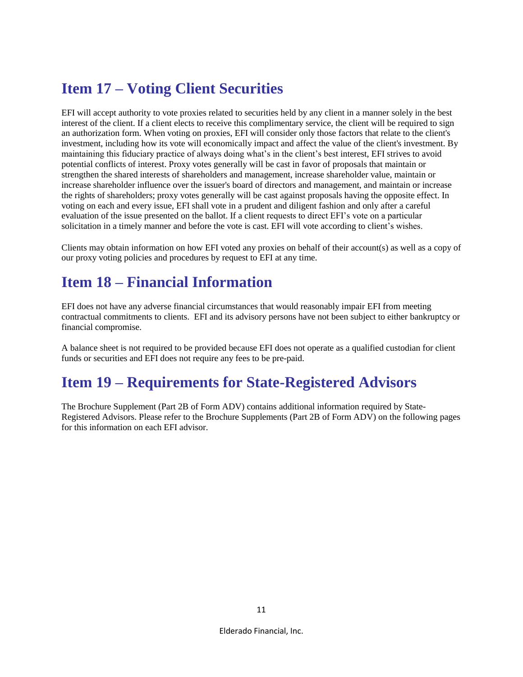# <span id="page-13-0"></span>**Item 17 – Voting Client Securities**

EFI will accept authority to vote proxies related to securities held by any client in a manner solely in the best interest of the client. If a client elects to receive this complimentary service, the client will be required to sign an authorization form. When voting on proxies, EFI will consider only those factors that relate to the client's investment, including how its vote will economically impact and affect the value of the client's investment. By maintaining this fiduciary practice of always doing what's in the client's best interest, EFI strives to avoid potential conflicts of interest. Proxy votes generally will be cast in favor of proposals that maintain or strengthen the shared interests of shareholders and management, increase shareholder value, maintain or increase shareholder influence over the issuer's board of directors and management, and maintain or increase the rights of shareholders; proxy votes generally will be cast against proposals having the opposite effect. In voting on each and every issue, EFI shall vote in a prudent and diligent fashion and only after a careful evaluation of the issue presented on the ballot. If a client requests to direct EFI's vote on a particular solicitation in a timely manner and before the vote is cast. EFI will vote according to client's wishes.

Clients may obtain information on how EFI voted any proxies on behalf of their account(s) as well as a copy of our proxy voting policies and procedures by request to EFI at any time.

## <span id="page-13-1"></span>**Item 18 – Financial Information**

EFI does not have any adverse financial circumstances that would reasonably impair EFI from meeting contractual commitments to clients. EFI and its advisory persons have not been subject to either bankruptcy or financial compromise.

A balance sheet is not required to be provided because EFI does not operate as a qualified custodian for client funds or securities and EFI does not require any fees to be pre-paid.

### <span id="page-13-2"></span>**Item 19 – Requirements for State-Registered Advisors**

The Brochure Supplement (Part 2B of Form ADV) contains additional information required by State-Registered Advisors. Please refer to the Brochure Supplements (Part 2B of Form ADV) on the following pages for this information on each EFI advisor.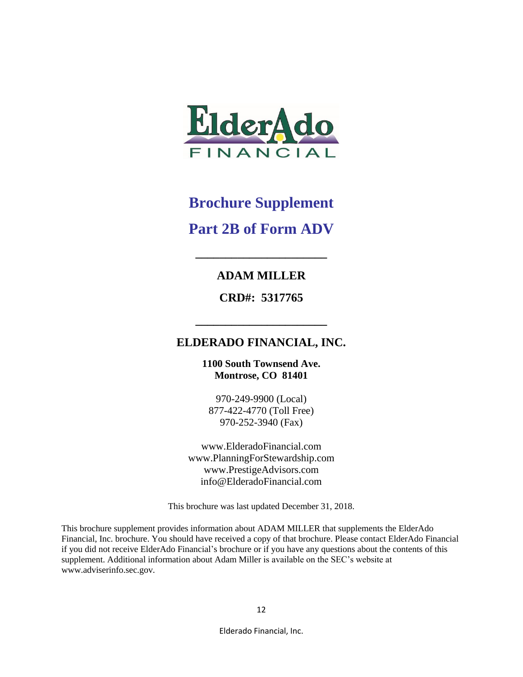

# **Brochure Supplement Part 2B of Form ADV**

#### **ADAM MILLER**

**\_\_\_\_\_\_\_\_\_\_\_\_\_\_\_\_\_\_\_\_\_\_**

**CRD#: 5317765**

### **ELDERADO FINANCIAL, INC.**

**\_\_\_\_\_\_\_\_\_\_\_\_\_\_\_\_\_\_\_\_\_\_**

**1100 South Townsend Ave. Montrose, CO 81401**

970-249-9900 (Local) 877-422-4770 (Toll Free) 970-252-3940 (Fax)

www.ElderadoFinancial.com www.PlanningForStewardship.com www.PrestigeAdvisors.com info@ElderadoFinancial.com

This brochure was last updated December 31, 2018.

This brochure supplement provides information about ADAM MILLER that supplements the ElderAdo Financial, Inc. brochure. You should have received a copy of that brochure. Please contact ElderAdo Financial if you did not receive ElderAdo Financial's brochure or if you have any questions about the contents of this supplement. Additional information about Adam Miller is available on the SEC's website at www.adviserinfo.sec.gov.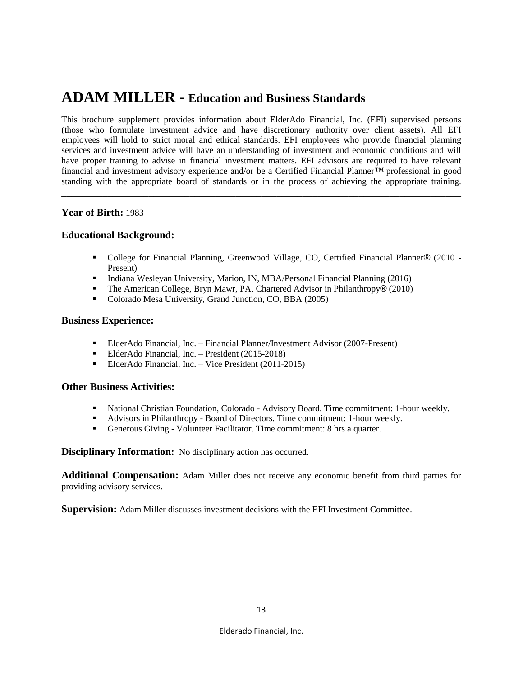### **ADAM MILLER - Education and Business Standards**

This brochure supplement provides information about ElderAdo Financial, Inc. (EFI) supervised persons (those who formulate investment advice and have discretionary authority over client assets). All EFI employees will hold to strict moral and ethical standards. EFI employees who provide financial planning services and investment advice will have an understanding of investment and economic conditions and will have proper training to advise in financial investment matters. EFI advisors are required to have relevant financial and investment advisory experience and/or be a Certified Financial Planner*™* professional in good standing with the appropriate board of standards or in the process of achieving the appropriate training.

\_\_\_\_\_\_\_\_\_\_\_\_\_\_\_\_\_\_\_\_\_\_\_\_\_\_\_\_\_\_\_\_\_\_\_\_\_\_\_\_\_\_\_\_\_\_\_\_\_\_\_\_\_\_\_\_\_\_\_\_\_\_\_\_\_\_\_\_\_\_\_\_\_\_\_\_\_\_

#### **Year of Birth:** 1983

#### **Educational Background:**

- College for Financial Planning, Greenwood Village, CO, Certified Financial Planner*®* (2010 Present)
- Indiana Wesleyan University, Marion, IN, MBA/Personal Financial Planning (2016)
- The American College, Bryn Mawr, PA, Chartered Advisor in Philanthropy*®* (2010)
- Colorado Mesa University, Grand Junction, CO, BBA (2005)

#### **Business Experience:**

- ElderAdo Financial, Inc. Financial Planner/Investment Advisor (2007-Present)
- ElderAdo Financial, Inc. President (2015-2018)
- ElderAdo Financial, Inc. Vice President (2011-2015)

#### **Other Business Activities:**

- National Christian Foundation, Colorado Advisory Board. Time commitment: 1-hour weekly.
- Advisors in Philanthropy Board of Directors. Time commitment: 1-hour weekly.
- Generous Giving Volunteer Facilitator. Time commitment: 8 hrs a quarter.

**Disciplinary Information:** No disciplinary action has occurred.

**Additional Compensation:** Adam Miller does not receive any economic benefit from third parties for providing advisory services.

**Supervision:** Adam Miller discusses investment decisions with the EFI Investment Committee.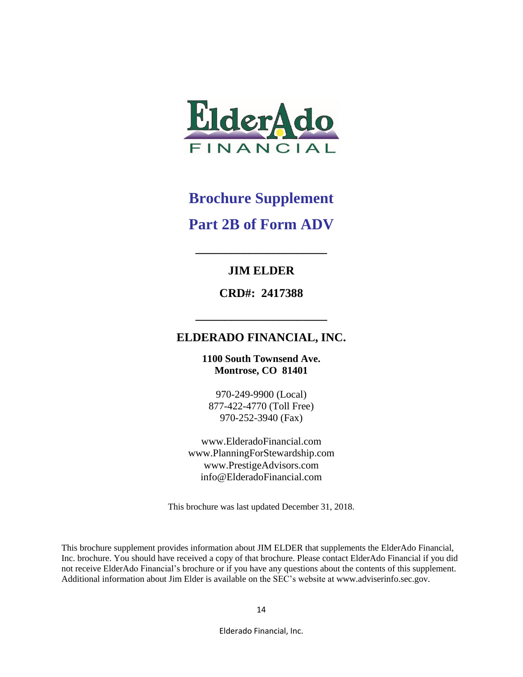

# **Brochure Supplement Part 2B of Form ADV**

#### **JIM ELDER**

**\_\_\_\_\_\_\_\_\_\_\_\_\_\_\_\_\_\_\_\_\_\_**

**CRD#: 2417388**

**\_\_\_\_\_\_\_\_\_\_\_\_\_\_\_\_\_\_\_\_\_\_**

### **ELDERADO FINANCIAL, INC.**

**1100 South Townsend Ave. Montrose, CO 81401**

970-249-9900 (Local) 877-422-4770 (Toll Free) 970-252-3940 (Fax)

www.ElderadoFinancial.com www.PlanningForStewardship.com www.PrestigeAdvisors.com info@ElderadoFinancial.com

This brochure was last updated December 31, 2018.

This brochure supplement provides information about JIM ELDER that supplements the ElderAdo Financial, Inc. brochure. You should have received a copy of that brochure. Please contact ElderAdo Financial if you did not receive ElderAdo Financial's brochure or if you have any questions about the contents of this supplement. Additional information about Jim Elder is available on the SEC's website at www.adviserinfo.sec.gov.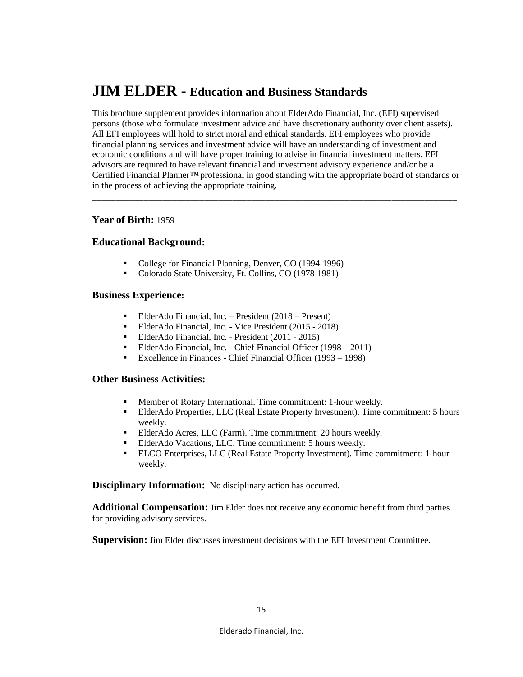### **JIM ELDER - Education and Business Standards**

This brochure supplement provides information about ElderAdo Financial, Inc. (EFI) supervised persons (those who formulate investment advice and have discretionary authority over client assets). All EFI employees will hold to strict moral and ethical standards. EFI employees who provide financial planning services and investment advice will have an understanding of investment and economic conditions and will have proper training to advise in financial investment matters. EFI advisors are required to have relevant financial and investment advisory experience and/or be a Certified Financial Planner*™* professional in good standing with the appropriate board of standards or in the process of achieving the appropriate training.

\_\_\_\_\_\_\_\_\_\_\_\_\_\_\_\_\_\_\_\_\_\_\_\_\_\_\_\_\_\_\_\_\_\_\_\_\_\_\_\_\_\_\_\_\_\_\_\_\_\_\_\_\_\_\_\_\_\_\_\_\_\_\_\_\_\_\_\_\_\_\_\_\_\_\_\_\_\_

#### **Year of Birth:** 1959

#### **Educational Background:**

- College for Financial Planning, Denver, CO (1994-1996)
- Colorado State University, Ft. Collins, CO (1978-1981)

#### **Business Experience:**

- ElderAdo Financial, Inc. President (2018 Present)
- ElderAdo Financial, Inc. Vice President (2015 2018)
- ElderAdo Financial, Inc. President (2011 2015)
- ElderAdo Financial, Inc. Chief Financial Officer (1998 2011)
- Excellence in Finances Chief Financial Officer (1993 1998)

#### **Other Business Activities:**

- Member of Rotary International. Time commitment: 1-hour weekly.<br>■ FlderAdo Properties. LLC (Real Estate Property Investment). Time of
- ElderAdo Properties, LLC (Real Estate Property Investment). Time commitment: 5 hours weekly.
- ElderAdo Acres, LLC (Farm). Time commitment: 20 hours weekly.
- ElderAdo Vacations, LLC. Time commitment: 5 hours weekly.
- ELCO Enterprises, LLC (Real Estate Property Investment). Time commitment: 1-hour weekly.

**Disciplinary Information:** No disciplinary action has occurred.

**Additional Compensation:** Jim Elder does not receive any economic benefit from third parties for providing advisory services.

**Supervision:** Jim Elder discusses investment decisions with the EFI Investment Committee.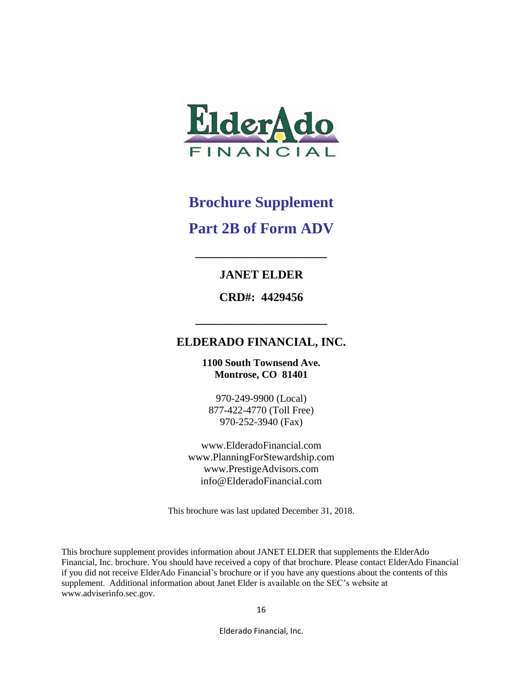

# **Brochure Supplement**

### **Part 2B of Form ADV**

### **JANET ELDER**

**\_\_\_\_\_\_\_\_\_\_\_\_\_\_\_\_\_\_\_\_\_\_**

**CRD#: 4429456**

#### **ELDERADO FINANCIAL, INC.**

**\_\_\_\_\_\_\_\_\_\_\_\_\_\_\_\_\_\_\_\_\_\_**

**1100 South Townsend Ave. Montrose, CO 81401**

970-249-9900 (Local) 877-422-4770 (Toll Free) 970-252-3940 (Fax)

www.ElderadoFinancial.com www.PlanningForStewardship.com www.PrestigeAdvisors.com info@ElderadoFinancial.com

This brochure was last updated December 31, 2018.

This brochure supplement provides information about JANET ELDER that supplements the ElderAdo Financial, Inc. brochure. You should have received a copy of that brochure. Please contact ElderAdo Financial if you did not receive ElderAdo Financial's brochure or if you have any questions about the contents of this supplement. Additional information about Janet Elder is available on the SEC's website at www.adviserinfo.sec.gov.

Elderado Financial, Inc.